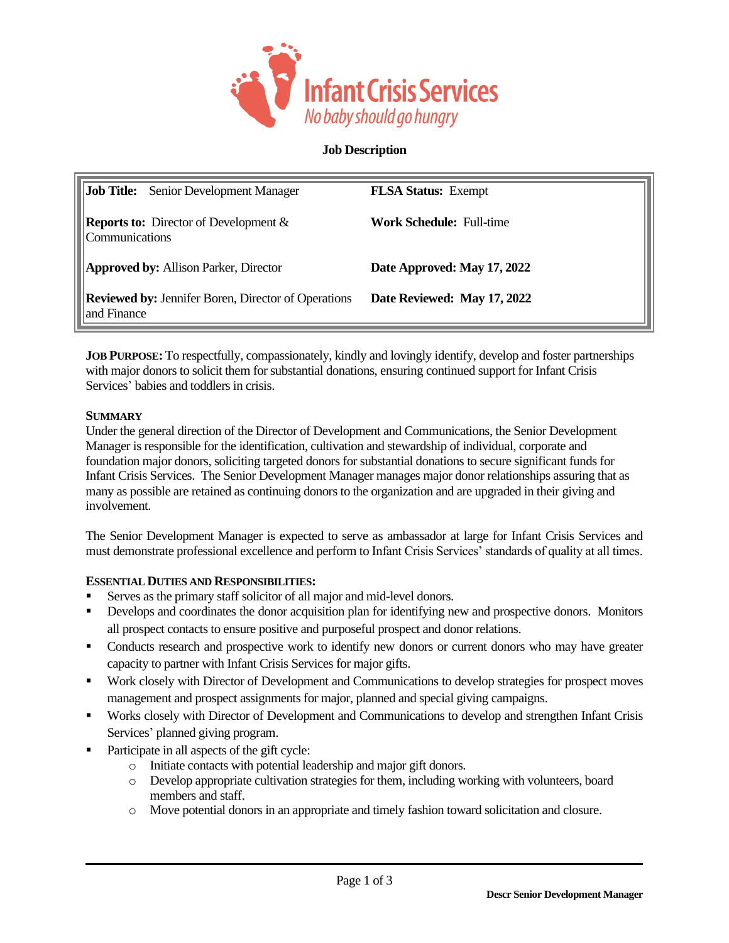

# **Job Description**

| <b>Job Title:</b> Senior Development Manager                              | <b>FLSA Status:</b> Exempt      |
|---------------------------------------------------------------------------|---------------------------------|
| <b>Reports to:</b> Director of Development $\&$<br><i>Communications</i>  | <b>Work Schedule: Full-time</b> |
| <b>Approved by:</b> Allison Parker, Director                              | Date Approved: May 17, 2022     |
| <b>Reviewed by: Jennifer Boren, Director of Operations</b><br>and Finance | Date Reviewed: May 17, 2022     |

**JOB PURPOSE:** To respectfully, compassionately, kindly and lovingly identify, develop and foster partnerships with major donors to solicit them for substantial donations, ensuring continued support for Infant Crisis Services' babies and toddlers in crisis.

### **SUMMARY**

Under the general direction of the Director of Development and Communications, the Senior Development Manager is responsible for the identification, cultivation and stewardship of individual, corporate and foundation major donors, soliciting targeted donors for substantial donations to secure significant funds for Infant Crisis Services. The Senior Development Manager manages major donor relationships assuring that as many as possible are retained as continuing donors to the organization and are upgraded in their giving and involvement.

The Senior Development Manager is expected to serve as ambassador at large for Infant Crisis Services and must demonstrate professional excellence and perform to Infant Crisis Services' standards of quality at all times.

# **ESSENTIAL DUTIES AND RESPONSIBILITIES:**

- Serves as the primary staff solicitor of all major and mid-level donors.
- Develops and coordinates the donor acquisition plan for identifying new and prospective donors. Monitors all prospect contacts to ensure positive and purposeful prospect and donor relations.
- Conducts research and prospective work to identify new donors or current donors who may have greater capacity to partner with Infant Crisis Services for major gifts.
- Work closely with Director of Development and Communications to develop strategies for prospect moves management and prospect assignments for major, planned and special giving campaigns.
- Works closely with Director of Development and Communications to develop and strengthen Infant Crisis Services' planned giving program.
- Participate in all aspects of the gift cycle:
	- o Initiate contacts with potential leadership and major gift donors.
	- o Develop appropriate cultivation strategies for them, including working with volunteers, board members and staff.
	- o Move potential donors in an appropriate and timely fashion toward solicitation and closure.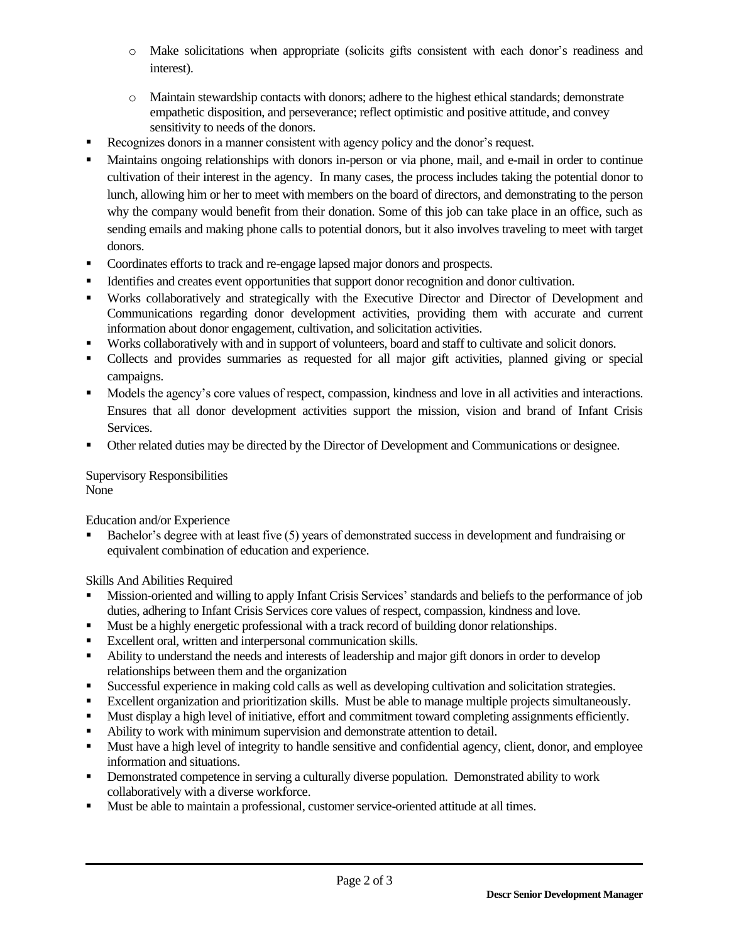- o Make solicitations when appropriate (solicits gifts consistent with each donor's readiness and interest).
- o Maintain stewardship contacts with donors; adhere to the highest ethical standards; demonstrate empathetic disposition, and perseverance; reflect optimistic and positive attitude, and convey sensitivity to needs of the donors.
- Recognizes donors in a manner consistent with agency policy and the donor's request.
- Maintains ongoing relationships with donors in-person or via phone, mail, and e-mail in order to continue cultivation of their interest in the agency. In many cases, the process includes taking the potential donor to lunch, allowing him or her to meet with members on the board of directors, and demonstrating to the person why the company would benefit from their donation. Some of this job can take place in an office, such as sending emails and making phone calls to potential donors, but it also involves traveling to meet with target donors.
- Coordinates efforts to track and re-engage lapsed major donors and prospects.
- Identifies and creates event opportunities that support donor recognition and donor cultivation.
- Works collaboratively and strategically with the Executive Director and Director of Development and Communications regarding donor development activities, providing them with accurate and current information about donor engagement, cultivation, and solicitation activities.
- Works collaboratively with and in support of volunteers, board and staff to cultivate and solicit donors.
- Collects and provides summaries as requested for all major gift activities, planned giving or special campaigns.
- Models the agency's core values of respect, compassion, kindness and love in all activities and interactions. Ensures that all donor development activities support the mission, vision and brand of Infant Crisis Services.
- Other related duties may be directed by the Director of Development and Communications or designee.

Supervisory Responsibilities None

Education and/or Experience

Bachelor's degree with at least five (5) years of demonstrated success in development and fundraising or equivalent combination of education and experience.

Skills And Abilities Required

- Mission-oriented and willing to apply Infant Crisis Services' standards and beliefs to the performance of job duties, adhering to Infant Crisis Services core values of respect, compassion, kindness and love.
- Must be a highly energetic professional with a track record of building donor relationships.
- Excellent oral, written and interpersonal communication skills.
- Ability to understand the needs and interests of leadership and major gift donors in order to develop relationships between them and the organization
- Successful experience in making cold calls as well as developing cultivation and solicitation strategies.
- Excellent organization and prioritization skills. Must be able to manage multiple projects simultaneously.
- Must display a high level of initiative, effort and commitment toward completing assignments efficiently.
- Ability to work with minimum supervision and demonstrate attention to detail.
- Must have a high level of integrity to handle sensitive and confidential agency, client, donor, and employee information and situations.
- Demonstrated competence in serving a culturally diverse population. Demonstrated ability to work collaboratively with a diverse workforce.
- Must be able to maintain a professional, customer service-oriented attitude at all times.